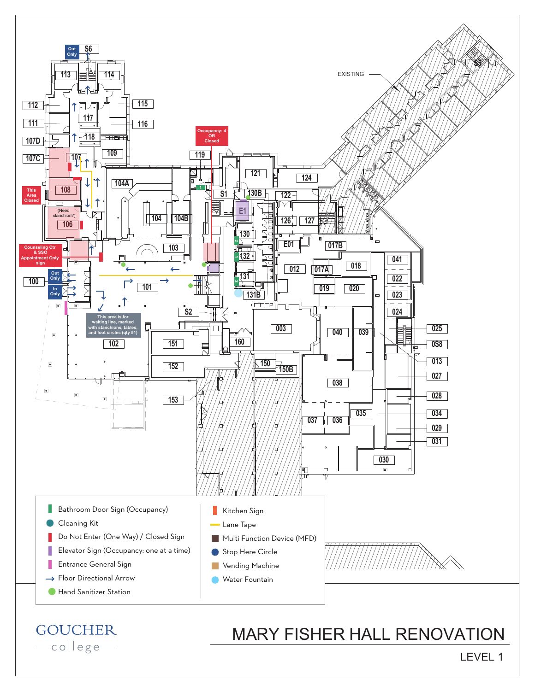

## **GOUCHER** -college-

## MARY FISHER HALL RENOVATION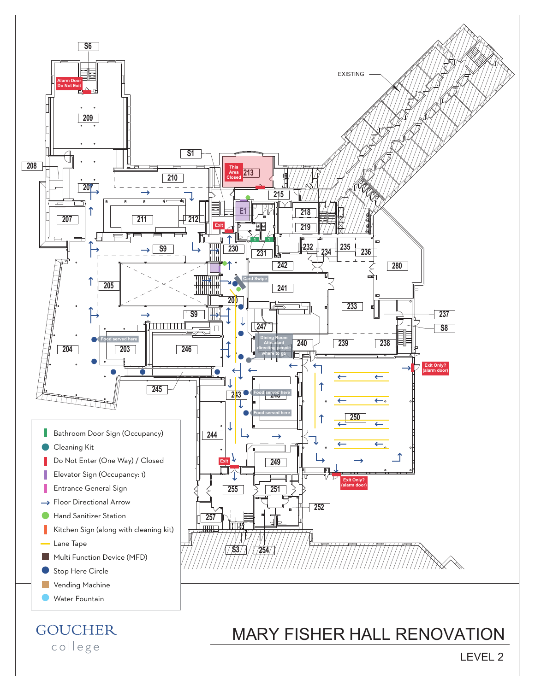

## **GOUCHER** -college-

## MARY FISHER HALL RENOVATION